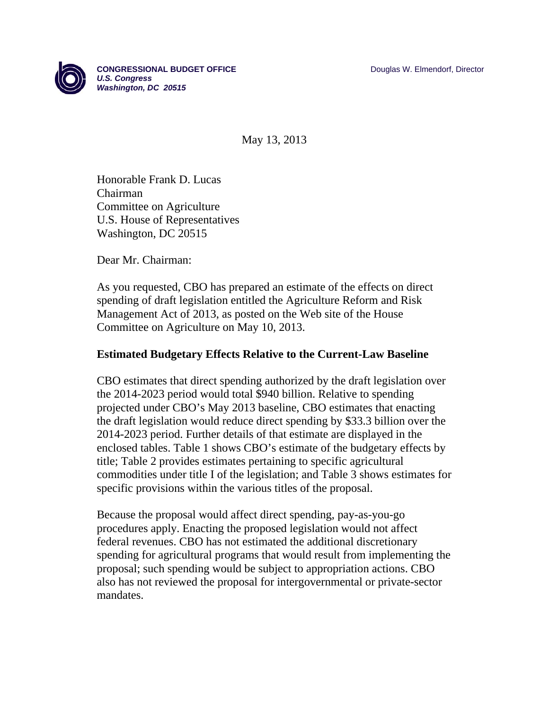

May 13, 2013

Honorable Frank D. Lucas Chairman Committee on Agriculture U.S. House of Representatives Washington, DC 20515

Dear Mr. Chairman:

As you requested, CBO has prepared an estimate of the effects on direct spending of draft legislation entitled the Agriculture Reform and Risk Management Act of 2013, as posted on the Web site of the House Committee on Agriculture on May 10, 2013.

# **Estimated Budgetary Effects Relative to the Current-Law Baseline**

CBO estimates that direct spending authorized by the draft legislation over the 2014-2023 period would total \$940 billion. Relative to spending projected under CBO's May 2013 baseline, CBO estimates that enacting the draft legislation would reduce direct spending by \$33.3 billion over the 2014-2023 period. Further details of that estimate are displayed in the enclosed tables. Table 1 shows CBO's estimate of the budgetary effects by title; Table 2 provides estimates pertaining to specific agricultural commodities under title I of the legislation; and Table 3 shows estimates for specific provisions within the various titles of the proposal.

Because the proposal would affect direct spending, pay-as-you-go procedures apply. Enacting the proposed legislation would not affect federal revenues. CBO has not estimated the additional discretionary spending for agricultural programs that would result from implementing the proposal; such spending would be subject to appropriation actions. CBO also has not reviewed the proposal for intergovernmental or private-sector mandates.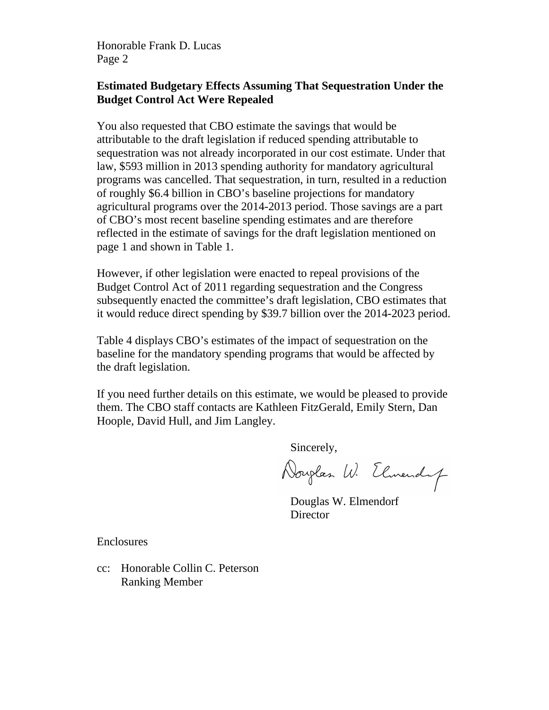Honorable Frank D. Lucas Page 2

# **Estimated Budgetary Effects Assuming That Sequestration Under the Budget Control Act Were Repealed**

You also requested that CBO estimate the savings that would be attributable to the draft legislation if reduced spending attributable to sequestration was not already incorporated in our cost estimate. Under that law, \$593 million in 2013 spending authority for mandatory agricultural programs was cancelled. That sequestration, in turn, resulted in a reduction of roughly \$6.4 billion in CBO's baseline projections for mandatory agricultural programs over the 2014-2013 period. Those savings are a part of CBO's most recent baseline spending estimates and are therefore reflected in the estimate of savings for the draft legislation mentioned on page 1 and shown in Table 1.

However, if other legislation were enacted to repeal provisions of the Budget Control Act of 2011 regarding sequestration and the Congress subsequently enacted the committee's draft legislation, CBO estimates that it would reduce direct spending by \$39.7 billion over the 2014-2023 period.

Table 4 displays CBO's estimates of the impact of sequestration on the baseline for the mandatory spending programs that would be affected by the draft legislation.

If you need further details on this estimate, we would be pleased to provide them. The CBO staff contacts are Kathleen FitzGerald, Emily Stern, Dan Hoople, David Hull, and Jim Langley.

Sincerely,

Douglas W. Elmendy

 Douglas W. Elmendorf **Director** 

Enclosures

cc: Honorable Collin C. Peterson Ranking Member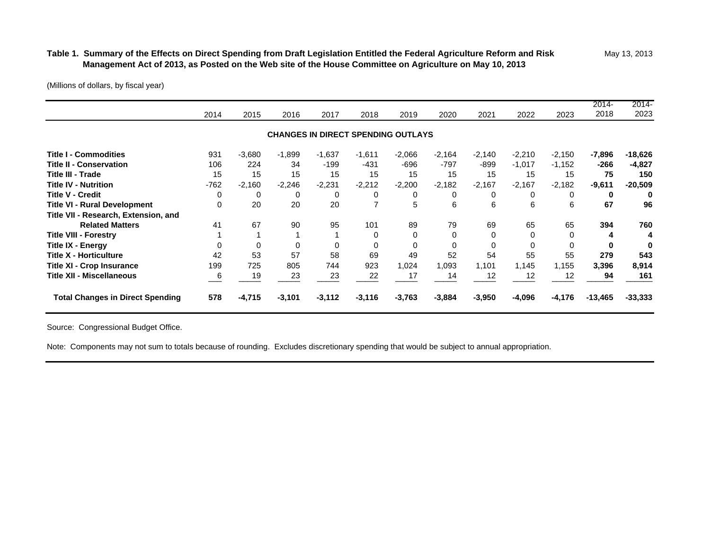## Table 1. Summary of the Effects on Direct Spending from Draft Legislation Entitled the Federal Agriculture Reform and Risk May 13, 2013  **Management Act of 2013, as Posted on the Web site of the House Committee on Agriculture on May 10, 201 3**

(Millions of dollars, by fiscal year)

|                                         |          |          |                                           |          |          |          |          |          |          |          | 2014-     | 2014-     |
|-----------------------------------------|----------|----------|-------------------------------------------|----------|----------|----------|----------|----------|----------|----------|-----------|-----------|
|                                         | 2014     | 2015     | 2016                                      | 2017     | 2018     | 2019     | 2020     | 2021     | 2022     | 2023     | 2018      | 2023      |
|                                         |          |          | <b>CHANGES IN DIRECT SPENDING OUTLAYS</b> |          |          |          |          |          |          |          |           |           |
| <b>Title I - Commodities</b>            | 931      | $-3,680$ | $-1,899$                                  | $-1,637$ | $-1,611$ | $-2,066$ | $-2,164$ | $-2,140$ | $-2,210$ | $-2,150$ | $-7,896$  | $-18,626$ |
| <b>Title II - Conservation</b>          | 106      | 224      | 34                                        | $-199$   | $-431$   | -696     | $-797$   | $-899$   | $-1,017$ | $-1,152$ | $-266$    | $-4,827$  |
| Title III - Trade                       | 15       | 15       | 15                                        | 15       | 15       | 15       | 15       | 15       | 15       | 15       | 75        | 150       |
| <b>Title IV - Nutrition</b>             | $-762$   | $-2,160$ | $-2,246$                                  | $-2,231$ | $-2,212$ | $-2,200$ | $-2,182$ | $-2,167$ | $-2,167$ | $-2,182$ | $-9,611$  | $-20,509$ |
| <b>Title V - Credit</b>                 | 0        | 0        | 0                                         | 0        | 0        | 0        | 0        | 0        | 0        | 0        | 0         | 0         |
| <b>Title VI - Rural Development</b>     | $\Omega$ | 20       | 20                                        | 20       | 7        | 5        | 6        | 6        | 6        | 6        | 67        | 96        |
| Title VII - Research, Extension, and    |          |          |                                           |          |          |          |          |          |          |          |           |           |
| <b>Related Matters</b>                  | 41       | 67       | 90                                        | 95       | 101      | 89       | 79       | 69       | 65       | 65       | 394       | 760       |
| <b>Title VIII - Forestry</b>            |          |          |                                           |          | $\Omega$ | 0        | $\Omega$ | $\Omega$ | 0        | $\Omega$ | 4         |           |
| Title IX - Energy                       |          | $\Omega$ | 0                                         |          | $\Omega$ |          | $\Omega$ | $\Omega$ |          | $\Omega$ | O         |           |
| <b>Title X - Horticulture</b>           | 42       | 53       | 57                                        | 58       | 69       | 49       | 52       | 54       | 55       | 55       | 279       | 543       |
| <b>Title XI - Crop Insurance</b>        | 199      | 725      | 805                                       | 744      | 923      | 1,024    | 1.093    | 1.101    | 1,145    | 1,155    | 3,396     | 8,914     |
| <b>Title XII - Miscellaneous</b>        | 6        | 19       | 23                                        | 23       | 22       | 17       | 14       | 12       | 12       | 12       | 94        | 161       |
| <b>Total Changes in Direct Spending</b> | 578      | $-4,715$ | $-3,101$                                  | $-3,112$ | $-3,116$ | $-3,763$ | $-3,884$ | $-3,950$ | $-4,096$ | $-4,176$ | $-13,465$ | $-33,333$ |

Source: Congressional Budget Office.

Note: Components may not sum to totals because of rounding. Excludes discretionary spending that would be subject to annual appropriation.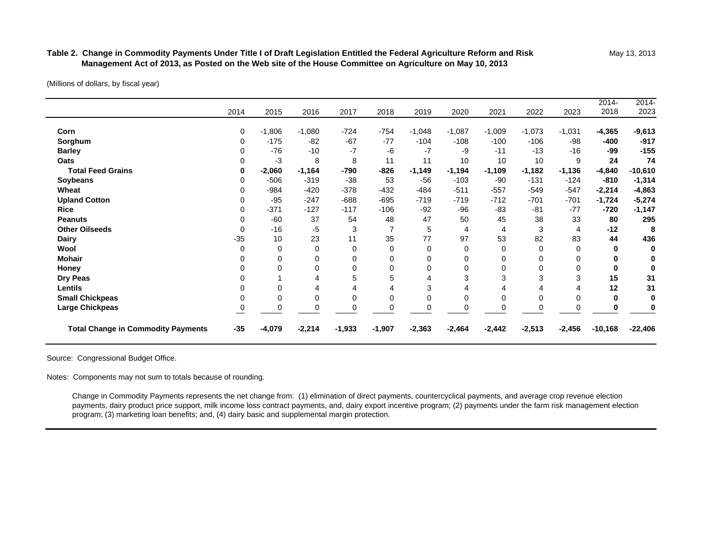### **Table 2. Change in Commodity Payments Under Title I of Draft Legislation Entitled the Federal Agriculture Reform and Risk** May 13, 2013  **Management Act of 2013, as Posted on the Web site of the House Committee on Agriculture on May 10, 2013**

(Millions of dollars, by fiscal year)

Ē.

| Honey<br>Dry Peas                     |       | 0                      | 0<br>4             |                 | $\Omega$<br>5       | 0                          | 0                          | 0<br>3             | 0<br>3                     | 0<br>З             | $\bf{0}$<br>15       | 31                          |
|---------------------------------------|-------|------------------------|--------------------|-----------------|---------------------|----------------------------|----------------------------|--------------------|----------------------------|--------------------|----------------------|-----------------------------|
| <b>Dairy</b><br>Wool<br><b>Mohair</b> | $-35$ | 10<br>$\mathbf 0$<br>0 | 23<br>0<br>0       | 11<br>0         | 35<br>0<br>$\Omega$ | 77<br>$\Omega$<br>$\Omega$ | 97<br>$\Omega$<br>$\Omega$ | 53<br>0<br>0       | 82<br>$\Omega$<br>$\Omega$ | 83<br>0            | 44<br>0<br>0         | 436<br>0                    |
| <b>Other Oilseeds</b>                 |       | $-16$                  | -5                 | 3               | $\overline{7}$      | 5                          | 4                          | 4                  | 3                          | 4                  | $-12$                | 8                           |
| <b>Rice</b><br><b>Peanuts</b>         |       | $-371$<br>$-60$        | $-127$<br>37       | $-117$<br>54    | $-106$<br>48        | $-92$<br>47                | $-96$<br>50                | $-83$<br>45        | $-81$<br>38                | $-77$<br>33        | $-720$<br>80         | $-5,274$<br>$-1,147$<br>295 |
| Wheat<br><b>Upland Cotton</b>         |       | $-984$<br>$-95$        | $-420$<br>$-247$   | -378<br>$-688$  | $-432$<br>$-695$    | -484<br>$-719$             | $-511$<br>$-719$           | $-557$<br>$-712$   | $-549$<br>$-701$           | $-547$<br>$-701$   | $-2,214$<br>$-1,724$ | $-4,863$                    |
| <b>Total Feed Grains</b><br>Soybeans  |       | $-2,060$<br>$-506$     | $-1,164$<br>$-319$ | $-790$<br>$-38$ | $-826$<br>53        | $-1,149$<br>$-56$          | $-1,194$<br>$-103$         | $-1,109$<br>$-90$  | $-1,182$<br>$-131$         | $-1,136$<br>$-124$ | $-4,840$<br>$-810$   | $-10,610$<br>$-1,314$       |
| <b>Barley</b><br>Oats                 |       | $-76$<br>-3            | $-10$<br>8         | -7<br>8         | $-6$<br>11          | $-7$<br>11                 | -9<br>10                   | $-11$<br>10        | $-13$<br>10                | $-16$<br>9         | -99<br>24            | $-155$<br>74                |
| Corn<br>Sorghum                       | 0     | $-1,806$<br>$-175$     | $-1,080$<br>$-82$  | $-724$<br>$-67$ | $-754$<br>$-77$     | $-1,048$<br>$-104$         | $-1,087$<br>$-108$         | $-1,009$<br>$-100$ | $-1,073$<br>$-106$         | $-1,031$<br>-98    | $-4,365$<br>-400     | $-9,613$<br>$-917$          |
|                                       | 2014  | 2015                   | 2016               | 2017            | 2018                | 2019                       | 2020                       | 2021               | 2022                       | 2023               | $2014 -$<br>2018     | $2014 -$<br>2023            |

Source: Congressional Budget Office.

Notes: Components may not sum to totals because of rounding.

 Change in Commodity Payments represents the net change from: (1) elimination of direct payments, countercyclical payments, and average crop revenue election payments, dairy product price support, milk income loss contract payments, and, dairy export incentive program; (2) payments under the farm risk management election program; (3) marketing loan benefits; and, (4) dairy basic and supplemental margin protection.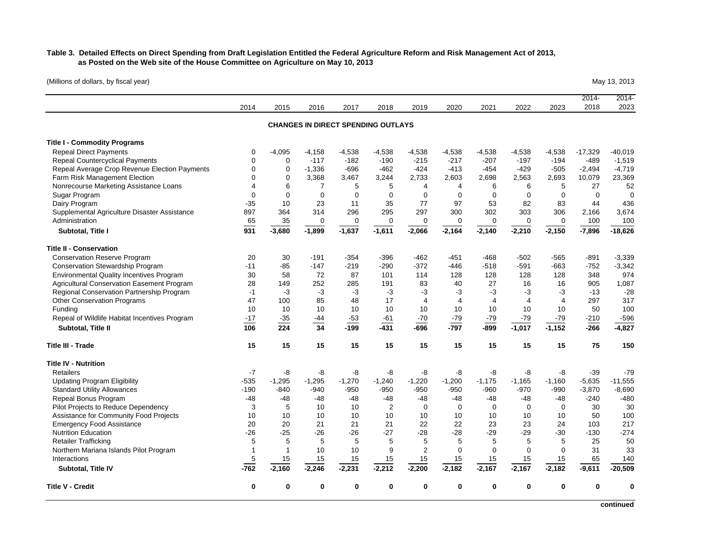## **Table 3. Detailed Effects on Direct Spending from Draft Legislation Entitled the Federal Agriculture Reform and Risk Management Act of 2013, as Posted on the Web site of the House Committee on Agriculture on May 10, 2013**

(Millions of dollars, by fiscal year) May 13, 2013

| Repeal Bonus Program<br>Pilot Projects to Reduce Dependency<br>Assistance for Community Food Projects | $-48$<br>3<br>10         | -48<br>5<br>10             | $-48$<br>10<br>10        | $-48$<br>10<br>10        | $-48$<br>$\overline{2}$<br>10             | $-48$<br>$\mathbf 0$<br>10 | -48<br>$\mathbf 0$<br>10 | $-48$<br>$\mathbf 0$<br>10 | -48<br>$\mathbf 0$<br>10 | $-48$<br>$\mathbf 0$<br>10 | $-240$<br>30<br>50            | $-480$<br>30<br>100            |
|-------------------------------------------------------------------------------------------------------|--------------------------|----------------------------|--------------------------|--------------------------|-------------------------------------------|----------------------------|--------------------------|----------------------------|--------------------------|----------------------------|-------------------------------|--------------------------------|
| <b>Retailers</b><br><b>Updating Program Eligibility</b><br><b>Standard Utility Allowances</b>         | $-7$<br>$-535$<br>$-190$ | -8<br>$-1,295$<br>$-840$   | -8<br>$-1,295$<br>$-940$ | -8<br>$-1,270$<br>$-950$ | -8<br>$-1,240$<br>$-950$                  | -8<br>$-1,220$<br>$-950$   | -8<br>$-1,200$<br>$-950$ | -8<br>$-1,175$<br>$-960$   | -8<br>$-1,165$<br>$-970$ | -8<br>$-1,160$<br>$-990$   | $-39$<br>$-5,635$<br>$-3,870$ | $-79$<br>$-11,555$<br>$-8,690$ |
| Title III - Trade<br><b>Title IV - Nutrition</b>                                                      | 15                       | 15                         | 15                       | 15                       | 15                                        | 15                         | 15                       | 15                         | 15                       | 15                         | 75                            | 150                            |
| Subtotal, Title II                                                                                    | 106                      | 224                        | 34                       | $-199$                   | $-431$                                    | -696                       | -797                     | $-899$                     | $-1,017$                 | $-1,152$                   | $-266$                        | $-4,827$                       |
| Repeal of Wildlife Habitat Incentives Program                                                         | $-17$                    | $-35$                      | -44                      | $-53$                    | -61                                       | $-70$                      | $-79$                    | $-79$                      | $-79$                    | $-79$                      | $-210$                        | $-596$                         |
| <b>Other Conservation Programs</b><br>Funding                                                         | 47<br>10                 | 100<br>10                  | 85<br>10                 | 48<br>10                 | 17<br>10                                  | $\overline{4}$<br>10       | $\overline{4}$<br>10     | 4<br>10                    | 4<br>10                  | $\overline{4}$<br>10       | 297<br>50                     | 317<br>100                     |
| Regional Conservation Partnership Program                                                             | $-1$                     | $-3$                       | -3                       | $-3$                     | $-3$                                      | -3                         | $-3$                     | $-3$                       | $-3$                     | -3                         | $-13$                         | $-28$                          |
| Agricultural Conservation Easement Program                                                            | 28                       | 149                        | 252                      | 285                      | 191                                       | 83                         | 40                       | 27                         | 16                       | 16                         | 905                           | 1,087                          |
| <b>Environmental Quality Incentives Program</b>                                                       | 30                       | 58                         | 72                       | 87                       | 101                                       | 114                        | 128                      | 128                        | 128                      | 128                        | 348                           | 974                            |
| <b>Conservation Stewardship Program</b>                                                               | $-11$                    | $-85$                      | $-147$                   | $-219$                   | $-290$                                    | $-372$                     | -446                     | $-518$                     | $-591$                   | $-663$                     | $-752$                        | $-3,342$                       |
| <b>Title II - Conservation</b><br><b>Conservation Reserve Program</b>                                 | 20                       | 30                         | $-191$                   | $-354$                   | $-396$                                    | $-462$                     | -451                     | $-468$                     | $-502$                   | -565                       | $-891$                        | $-3,339$                       |
| Subtotal, Title I                                                                                     | 931                      | $-3,680$                   | $-1,899$                 | $-1,637$                 | $-1,611$                                  | $-2,066$                   | $-2,164$                 | $-2,140$                   | $-2,210$                 | $-2,150$                   | $-7,896$                      | $-18,626$                      |
| Administration                                                                                        | 65                       | 35                         | 0                        | $\mathbf 0$              | $\Omega$                                  | $\mathbf 0$                | $\Omega$                 | 0                          | 0                        | $\Omega$                   | 100                           | 100                            |
| Supplemental Agriculture Disaster Assistance                                                          | 897                      | 364                        | 314                      | 296                      | 295                                       | 297                        | 300                      | 302                        | 303                      | 306                        | 2,166                         | 3,674                          |
| Dairy Program                                                                                         | $-35$                    | 10                         | 23                       | 11                       | 35                                        | 77                         | 97                       | 53                         | 82                       | 83                         | 44                            | 436                            |
| Sugar Program                                                                                         | $\mathbf 0$              | $\mathbf 0$                | $\mathbf 0$              | $\mathbf 0$              | $\mathbf 0$                               | $\mathbf 0$                | $\mathbf 0$              | $\mathbf 0$                | $\mathbf 0$              | $\mathbf 0$                | $\mathbf 0$                   | $\Omega$                       |
| Nonrecourse Marketing Assistance Loans                                                                | $\overline{4}$           | 6                          | $\overline{7}$           | 5                        | 5                                         | $\overline{4}$             | $\overline{4}$           | 6                          | 6                        | 5                          | 27                            | 52                             |
| Repeal Average Crop Revenue Election Payments<br>Farm Risk Management Election                        | $\mathbf 0$<br>$\Omega$  | $\mathbf 0$<br>$\mathbf 0$ | $-1,336$<br>3,368        | $-696$<br>3,467          | $-462$<br>3,244                           | $-424$<br>2,733            | $-413$<br>2,603          | $-454$<br>2,698            | $-429$<br>2,563          | $-505$<br>2,693            | $-2,494$<br>10,079            | $-4,719$<br>23,369             |
| <b>Repeal Countercyclical Payments</b>                                                                | 0                        | $\mathbf 0$                | $-117$                   | $-182$                   | $-190$                                    | $-215$                     | $-217$                   | $-207$                     | $-197$                   | $-194$                     | $-489$                        | $-1,519$                       |
| <b>Repeal Direct Payments</b>                                                                         | 0                        | $-4.095$                   | $-4,158$                 | $-4,538$                 | -4,538                                    | $-4,538$                   | -4,538                   | $-4,538$                   | $-4,538$                 | $-4,538$                   | $-17,329$                     | $-40,019$                      |
| <b>Title I - Commodity Programs</b>                                                                   |                          |                            |                          |                          |                                           |                            |                          |                            |                          |                            |                               |                                |
|                                                                                                       |                          |                            |                          |                          |                                           |                            |                          |                            |                          |                            |                               |                                |
|                                                                                                       |                          |                            |                          |                          | <b>CHANGES IN DIRECT SPENDING OUTLAYS</b> |                            |                          |                            |                          |                            |                               |                                |
|                                                                                                       | 2014                     | 2015                       | 2016                     | 2017                     | 2018                                      | 2019                       | 2020                     | 2021                       | 2022                     | 2023                       | $2014 -$<br>2018              | $2014 -$<br>2023               |

**continued**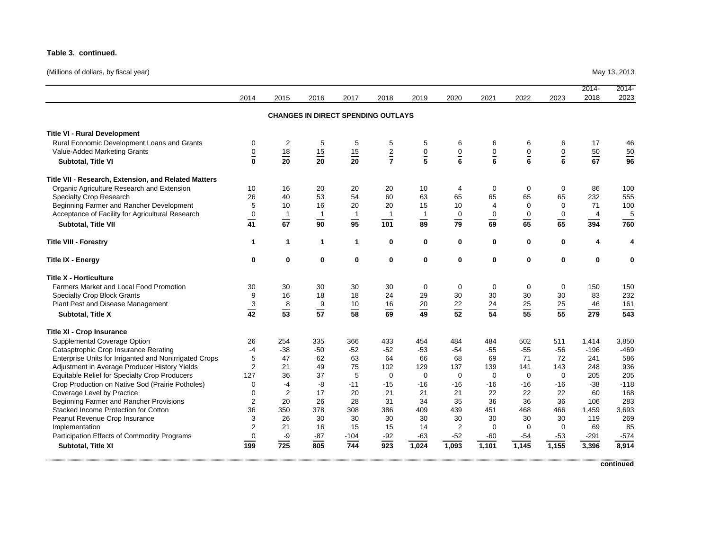#### **Table 3. continued.**

(Millions of dollars, by fiscal year) May 13, 2013

|                                                        | 2014           | 2015            | 2016                                      | 2017            | 2018           | 2019            | 2020           | 2021            | 2022            | 2023            | $2014 -$<br>2018 | $2014 -$<br>2023 |
|--------------------------------------------------------|----------------|-----------------|-------------------------------------------|-----------------|----------------|-----------------|----------------|-----------------|-----------------|-----------------|------------------|------------------|
|                                                        |                |                 | <b>CHANGES IN DIRECT SPENDING OUTLAYS</b> |                 |                |                 |                |                 |                 |                 |                  |                  |
| <b>Title VI - Rural Development</b>                    |                |                 |                                           |                 |                |                 |                |                 |                 |                 |                  |                  |
| Rural Economic Development Loans and Grants            | $\mathbf 0$    | $\overline{2}$  | 5                                         | 5               | 5              | 5               | 6              | 6               | 6               | 6               | 17               | 46               |
| Value-Added Marketing Grants                           | $\overline{0}$ | $\frac{18}{20}$ | $\frac{15}{20}$                           | $\frac{15}{20}$ | $rac{2}{7}$    | $\frac{0}{5}$   | $\frac{0}{6}$  | $\frac{0}{6}$   | $\frac{0}{6}$   | $\frac{0}{6}$   | $\frac{50}{67}$  | $\frac{50}{96}$  |
| Subtotal, Title VI                                     | $\mathbf{0}$   |                 |                                           |                 |                |                 |                |                 |                 |                 |                  |                  |
| Title VII - Research, Extension, and Related Matters   |                |                 |                                           |                 |                |                 |                |                 |                 |                 |                  |                  |
| Organic Agriculture Research and Extension             | 10             | 16              | 20                                        | 20              | 20             | 10              | 4              | 0               | $\mathbf 0$     | 0               | 86               | 100              |
| <b>Specialty Crop Research</b>                         | 26             | 40              | 53                                        | 54              | 60             | 63              | 65             | 65              | 65              | 65              | 232              | 555              |
| Beginning Farmer and Rancher Development               | 5              | 10              | 16                                        | 20              | 20             | 15              | 10             | $\overline{4}$  | $\Omega$        | $\Omega$        | 71               | 100              |
| Acceptance of Facility for Agricultural Research       | $\mathbf 0$    | $\overline{1}$  | $\mathbf{1}$                              | $\overline{1}$  | $\overline{1}$ | $\mathbf{1}$    | $\mathbf 0$    | $\pmb{0}$       | $\mathbf 0$     | $\pmb{0}$       | $\overline{4}$   | 5                |
| Subtotal, Title VII                                    | $\frac{1}{41}$ | $\overline{67}$ | $\overline{90}$                           | $\overline{95}$ | 101            | $\overline{89}$ | $\frac{1}{79}$ | $\overline{69}$ | $\overline{65}$ | $\overline{65}$ | 394              | 760              |
| <b>Title VIII - Forestry</b>                           | $\mathbf{1}$   | $\mathbf{1}$    | $\mathbf 1$                               | $\mathbf{1}$    | 0              | 0               | 0              | 0               | $\mathbf{0}$    | 0               | 4                | 4                |
| <b>Title IX - Energy</b>                               | 0              | $\mathbf 0$     | 0                                         | $\mathbf 0$     | $\mathbf 0$    | $\mathbf 0$     | 0              | $\mathbf 0$     | $\mathbf 0$     | 0               | 0                | $\mathbf 0$      |
| <b>Title X - Horticulture</b>                          |                |                 |                                           |                 |                |                 |                |                 |                 |                 |                  |                  |
| Farmers Market and Local Food Promotion                | 30             | 30              | 30                                        | 30              | 30             | 0               | $\mathbf 0$    | 0               | 0               | 0               | 150              | 150              |
| <b>Specialty Crop Block Grants</b>                     | 9              | 16              | 18                                        | 18              | 24             | 29              | 30             | 30              | 30              | 30              | 83               | 232              |
| Plant Pest and Disease Management                      |                |                 | $\boldsymbol{9}$                          | 10              | 16             | 20              | 22             | 24              | 25              | 25              | 46               | 161              |
| Subtotal, Title X                                      | $\frac{3}{42}$ | $\frac{8}{53}$  | $\overline{57}$                           | $\overline{58}$ | 69             | 49              | 52             | $\overline{54}$ | $\overline{55}$ | $\overline{55}$ | 279              | 543              |
| <b>Title XI - Crop Insurance</b>                       |                |                 |                                           |                 |                |                 |                |                 |                 |                 |                  |                  |
| Supplemental Coverage Option                           | 26             | 254             | 335                                       | 366             | 433            | 454             | 484            | 484             | 502             | 511             | 1,414            | 3,850            |
| Catasptrophic Crop Insurance Rerating                  | $-4$           | $-38$           | $-50$                                     | $-52$           | $-52$          | $-53$           | $-54$          | $-55$           | $-55$           | $-56$           | $-196$           | $-469$           |
| Enterprise Units for Irriganted and Nonirrigated Crops | 5              | 47              | 62                                        | 63              | 64             | 66              | 68             | 69              | 71              | 72              | 241              | 586              |
| Adjustment in Average Producer History Yields          | $\overline{2}$ | 21              | 49                                        | 75              | 102            | 129             | 137            | 139             | 141             | 143             | 248              | 936              |
| Equitable Relief for Specialty Crop Producers          | 127            | 36              | 37                                        | 5               | $\Omega$       | $\mathbf 0$     | $\mathbf 0$    | $\Omega$        | $\Omega$        | $\Omega$        | 205              | 205              |
| Crop Production on Native Sod (Prairie Potholes)       | $\mathbf 0$    | $-4$            | -8                                        | $-11$           | $-15$          | $-16$           | $-16$          | $-16$           | -16             | $-16$           | $-38$            | $-118$           |
| Coverage Level by Practice                             | $\Omega$       | $\overline{2}$  | 17                                        | 20              | 21             | 21              | 21             | 22              | 22              | 22              | 60               | 168              |
| Beginning Farmer and Rancher Provisions                | 2              | 20              | 26                                        | 28              | 31             | 34              | 35             | 36              | 36              | 36              | 106              | 283              |
| Stacked Income Protection for Cotton                   | 36             | 350             | 378                                       | 308             | 386            | 409             | 439            | 451             | 468             | 466             | 1,459            | 3,693            |
| Peanut Revenue Crop Insurance                          | 3              | 26              | 30                                        | 30              | 30             | 30              | 30             | 30              | 30              | 30              | 119              | 269              |
| Implementation                                         | $\overline{2}$ | 21              | 16                                        | 15              | 15             | 14              | $\overline{2}$ | $\mathbf 0$     | $\mathbf 0$     | $\mathbf 0$     | 69               | 85               |
| Participation Effects of Commodity Programs            | $\mathbf 0$    | -9              | $-87$                                     | $-104$          | $-92$          | $-63$           | $-52$          | $-60$           | $-54$           | $-53$           | $-291$           | $-574$           |
| Subtotal, Title XI                                     | 199            | 725             | 805                                       | 744             | 923            | 1,024           | 1,093          | 1,101           | 1,145           | 1,155           | 3,396            | 8,914            |

**continued**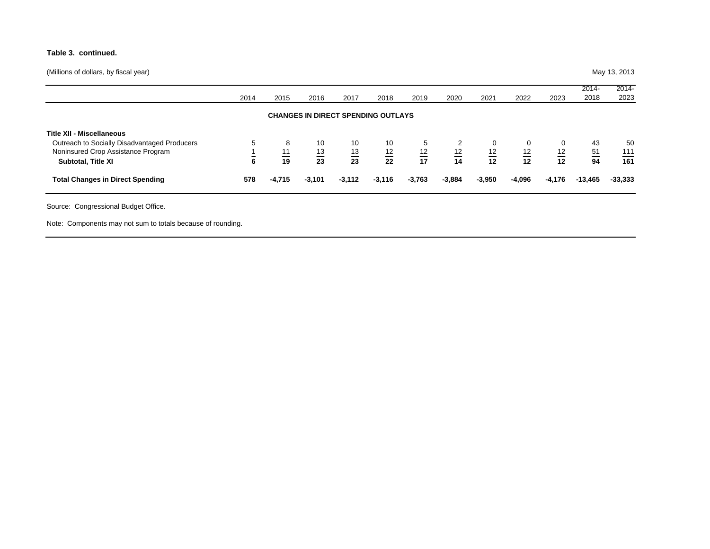#### **Table 3. continued.**

(Millions of dollars, by fiscal year) May 13, 2013

|                                                                                                                                              | 2014   | 2015                       | 2016                  | 2017                        | 2018                                      | 2019                 | 2020                 | 2021            | 2022                      | 2023               | 2014-<br>2018         | 2014-<br>2023    |
|----------------------------------------------------------------------------------------------------------------------------------------------|--------|----------------------------|-----------------------|-----------------------------|-------------------------------------------|----------------------|----------------------|-----------------|---------------------------|--------------------|-----------------------|------------------|
|                                                                                                                                              |        |                            |                       |                             | <b>CHANGES IN DIRECT SPENDING OUTLAYS</b> |                      |                      |                 |                           |                    |                       |                  |
| <b>Title XII - Miscellaneous</b><br>Outreach to Socially Disadvantaged Producers<br>Noninsured Crop Assistance Program<br>Subtotal, Title XI | 5<br>6 | 8<br>11<br>$\overline{19}$ | 10<br>$\frac{13}{23}$ | 10<br>13<br>$\overline{23}$ | 10<br>$\frac{12}{22}$                     | 5<br>$\frac{12}{17}$ | 2<br>$\frac{12}{14}$ | $\frac{12}{12}$ | 0<br>$\frac{12}{1}$<br>12 | 0<br>12<br>—<br>12 | 43<br>$\frac{51}{94}$ | 50<br>111<br>161 |
| <b>Total Changes in Direct Spending</b>                                                                                                      | 578    | $-4,715$                   | $-3,101$              | $-3,112$                    | $-3,116$                                  | $-3,763$             | $-3,884$             | $-3,950$        | $-4,096$                  | $-4,176$           | $-13,465$             | $-33,333$        |

Note: Components may not sum to totals because of rounding.